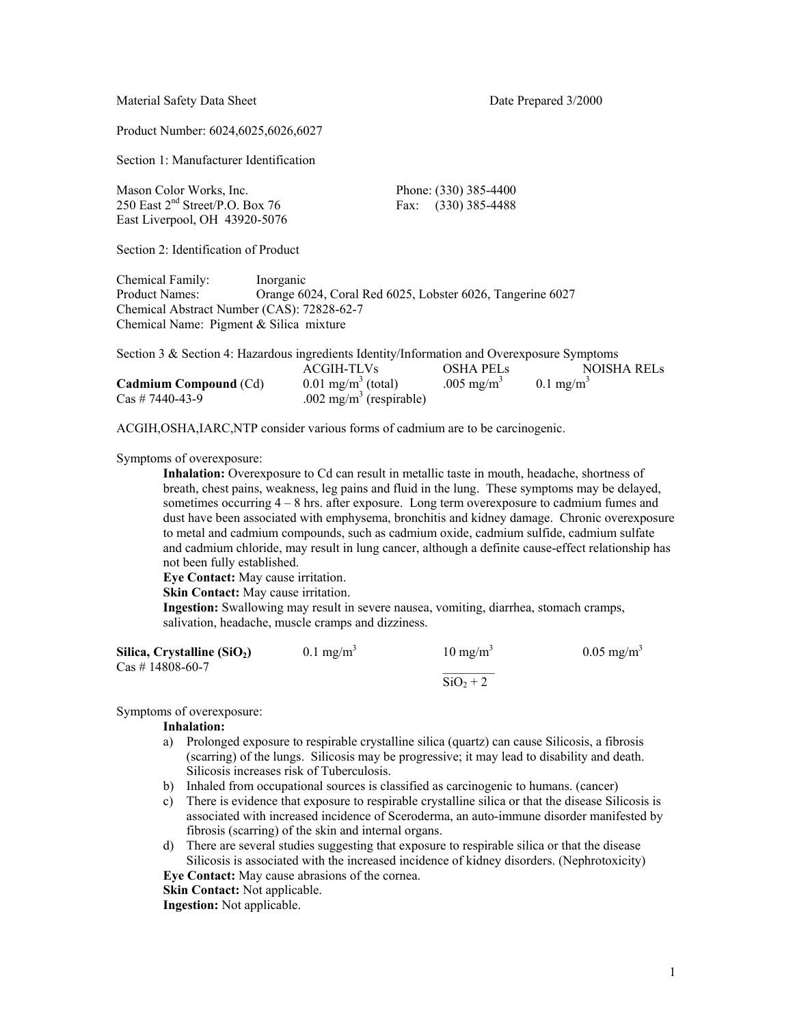Material Safety Data Sheet Date Prepared 3/2000

Product Number: 6024,6025,6026,6027

Section 1: Manufacturer Identification

| Mason Color Works, Inc.              | Phone: (330) 385-4400 |
|--------------------------------------|-----------------------|
| 250 East $2^{nd}$ Street/P.O. Box 76 | Fax: $(330)$ 385-4488 |
| East Liverpool, OH 43920-5076        |                       |

Section 2: Identification of Product

Chemical Family: Inorganic Product Names: Orange 6024, Coral Red 6025, Lobster 6026, Tangerine 6027 Chemical Abstract Number (CAS): 72828-62-7 Chemical Name: Pigment & Silica mixture

| Section 3 & Section 4: Hazardous ingredients Identity/Information and Overexposure Symptoms |                                     |                        |                         |
|---------------------------------------------------------------------------------------------|-------------------------------------|------------------------|-------------------------|
|                                                                                             | ACGIH-TLVs                          | <b>OSHA PELS</b>       | NOISHA RELS             |
| <b>Cadmium Compound (Cd)</b>                                                                | $0.01$ mg/m <sup>3</sup> (total)    | .005 mg/m <sup>3</sup> | $0.1$ mg/m <sup>3</sup> |
| $\text{Cas}\ \# \ 7440-43-9$                                                                | .002 mg/m <sup>3</sup> (respirable) |                        |                         |

ACGIH,OSHA,IARC,NTP consider various forms of cadmium are to be carcinogenic.

Symptoms of overexposure:

**Inhalation:** Overexposure to Cd can result in metallic taste in mouth, headache, shortness of breath, chest pains, weakness, leg pains and fluid in the lung. These symptoms may be delayed, sometimes occurring 4 – 8 hrs. after exposure. Long term overexposure to cadmium fumes and dust have been associated with emphysema, bronchitis and kidney damage. Chronic overexposure to metal and cadmium compounds, such as cadmium oxide, cadmium sulfide, cadmium sulfate and cadmium chloride, may result in lung cancer, although a definite cause-effect relationship has not been fully established.

**Eye Contact:** May cause irritation.

**Skin Contact:** May cause irritation.

**Ingestion:** Swallowing may result in severe nausea, vomiting, diarrhea, stomach cramps, salivation, headache, muscle cramps and dizziness.

| Silica, Crystalline $(SiO2)$                  | $0.1$ mg/m <sup>3</sup> | $10 \text{ mg/m}^3$ | $0.05$ mg/m <sup>3</sup> |
|-----------------------------------------------|-------------------------|---------------------|--------------------------|
| $\text{Cas}\; \# \; 14808\text{-}60\text{-}7$ |                         |                     |                          |
|                                               |                         | $SiO2 + 2$          |                          |

Symptoms of overexposure:

### **Inhalation:**

- a) Prolonged exposure to respirable crystalline silica (quartz) can cause Silicosis, a fibrosis (scarring) of the lungs. Silicosis may be progressive; it may lead to disability and death. Silicosis increases risk of Tuberculosis.
- b) Inhaled from occupational sources is classified as carcinogenic to humans. (cancer)
- c) There is evidence that exposure to respirable crystalline silica or that the disease Silicosis is associated with increased incidence of Sceroderma, an auto-immune disorder manifested by fibrosis (scarring) of the skin and internal organs.
- d) There are several studies suggesting that exposure to respirable silica or that the disease Silicosis is associated with the increased incidence of kidney disorders. (Nephrotoxicity)
- **Eye Contact:** May cause abrasions of the cornea.

**Skin Contact:** Not applicable.

**Ingestion:** Not applicable.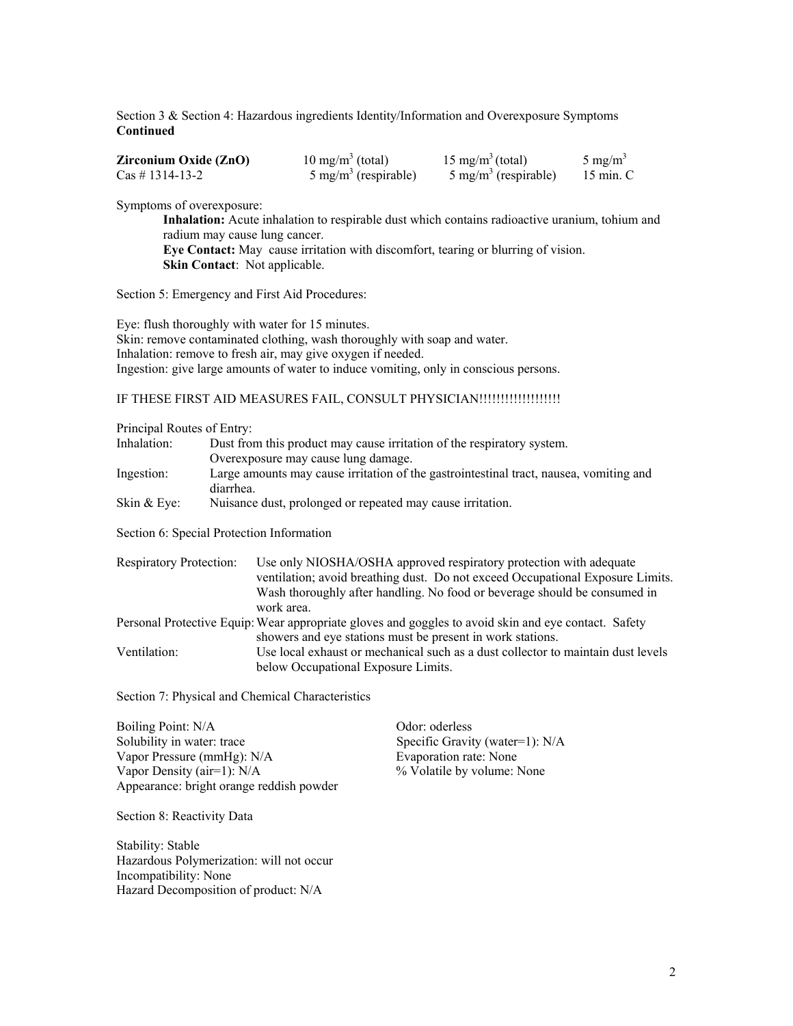Section 3 & Section 4: Hazardous ingredients Identity/Information and Overexposure Symptoms **Continued** 

| Zirconium Oxide (ZnO)              | $10 \text{ mg/m}^3$ (total)     | $15 \text{ mg/m}^3 \text{(total)}$ | 5 mg/m <sup>3</sup> |
|------------------------------------|---------------------------------|------------------------------------|---------------------|
| $\text{Cas}\; \# \; 1314 - 13 - 2$ | $5 \text{ mg/m}^3$ (respirable) | $5 \text{ mg/m}^3$ (respirable)    | 15 min. C           |

Symptoms of overexposure:

**Inhalation:** Acute inhalation to respirable dust which contains radioactive uranium, tohium and radium may cause lung cancer.

**Eye Contact:** May cause irritation with discomfort, tearing or blurring of vision. **Skin Contact**: Not applicable.

Section 5: Emergency and First Aid Procedures:

Eye: flush thoroughly with water for 15 minutes. Skin: remove contaminated clothing, wash thoroughly with soap and water. Inhalation: remove to fresh air, may give oxygen if needed. Ingestion: give large amounts of water to induce vomiting, only in conscious persons.

# IF THESE FIRST AID MEASURES FAIL, CONSULT PHYSICIAN!!!!!!!!!!!!!!!!!!!!!!!!!!!!!!

Principal Routes of Entry:

| Inhalation:   | Dust from this product may cause irritation of the respiratory system.                              |
|---------------|-----------------------------------------------------------------------------------------------------|
|               | Overexposure may cause lung damage.                                                                 |
| Ingestion:    | Large amounts may cause irritation of the gastrointestinal tract, nausea, vomiting and<br>diarrhea. |
| Skin $&$ Eve: | Nuisance dust, prolonged or repeated may cause irritation.                                          |

Section 6: Special Protection Information

| <b>Respiratory Protection:</b> | Use only NIOSHA/OSHA approved respiratory protection with adequate                                   |
|--------------------------------|------------------------------------------------------------------------------------------------------|
|                                | ventilation; avoid breathing dust. Do not exceed Occupational Exposure Limits.                       |
|                                | Wash thoroughly after handling. No food or beverage should be consumed in                            |
|                                | work area.                                                                                           |
|                                | Personal Protective Equip: Wear appropriate gloves and goggles to avoid skin and eye contact. Safety |
|                                | showers and eye stations must be present in work stations.                                           |
| Ventilation:                   | Use local exhaust or mechanical such as a dust collector to maintain dust levels                     |
|                                | below Occupational Exposure Limits.                                                                  |

Section 7: Physical and Chemical Characteristics

Boiling Point: N/A Odor: oderless Solubility in water: trace Specific Gravity (water=1): N/A Vapor Pressure (mmHg): N/A Evaporation rate: None Vapor Density (air=1):  $N/A$  % Volatile by volume: None Appearance: bright orange reddish powder

Section 8: Reactivity Data

Stability: Stable Hazardous Polymerization: will not occur Incompatibility: None Hazard Decomposition of product: N/A